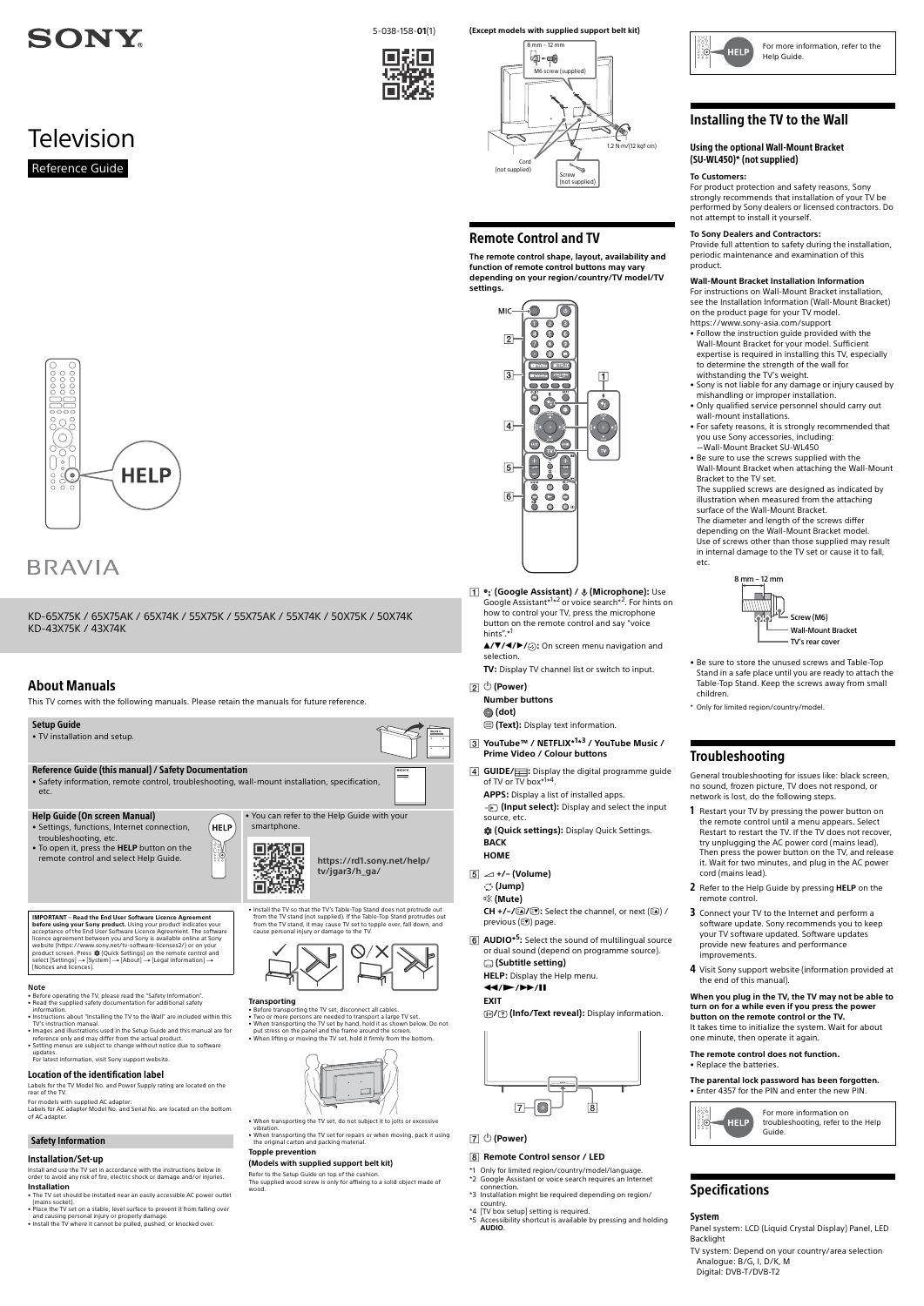

**Television** 

KD-65X75K / 65X75AK / 65X74K / 55X75K / 55X75AK / 55X74K / 50X75K / 50X74K KD-43X75K / 43X74K

5-038-158-**01**(1)

Reference Guide

#### Note

- Before operating the TV, please read the "Safety Information".
- Read the supplied safety documentation for additional safety
- information. Instructions about "Installing the TV to the Wall" are included within this TV's instruction manual.
- Images and illustrations used in the Setup Guide and this manual are for reference only and may differ from the actual product.
- Setting menus are subject to change without notice due to software updates. For latest information, visit Sony support website.

#### Location of the identification label

- The TV set should be installed near an easily accessible AC power outlet
- (mains socket). Place the TV set on a stable, level surface to prevent it from falling over
- and causing personal injury or property damage. Install the TV where it cannot be pulled, pushed, or knocked over.

Labels for the TV Model No. and Power Supply rating are located on the rear of the TV.

For models with supplied AC adapter:

Labels for AC adapter Model No. and Serial No. are located on the bottom of AC adapter.

#### Safety Information

### Installation/Set-up

Install and use the TV set in accordance with the instructions below in order to avoid any risk of fire, electric shock or damage and/or injuries.

#### **Installation**

Refer to the Setup Guide on top of the cushion. The supplied wood screw is only for affixing to a solid object made of wood

**before using your Sony product.** Using your product indicates your acceptance of the End User Software Licence Agreement. The software licence agreement between you and Sony is available online at Sony website (https://www.sony.net/tv-software-licenses2/) or on your product screen. Press な (Quick Settings) on the remote control and<br>select [Settings] → [System] → [About] → [Legal information] →<br>[Notices and licences].

from the TV stand (not supplied). If the Table-Top Stand protrudes out<br>from the TV stand, it may cause TV set to topple over, fall down, and<br>cause personal injury or damage to the TV.



#### **Transporting**

• Before transporting the TV set, disconnect all cables. • Two or more persons are needed to transport a large TV set. • When transporting the TV set by hand, hold it as shown below. Do not put stress on the panel and the frame around the screen. • When lifting or moving the TV set, hold it firmly from the bottom.



• When transporting the TV set, do not subject it to jolts or excessive

vibration. • When transporting the TV set for repairs or when moving, pack it using the original carton and packing material.

#### **Topple prevention**

#### **(Models with supplied support belt kit)**

previous  $(\circledcirc)$  page. **AUDIO\*5:** Select the sound of multilingual source or dual sound (depend on programme source).

 $CH + / /$ **a**/ $\odot$ : Select the channel, or next (a) /

# About Manuals

This TV comes with the following manuals. Please retain the manuals for future reference.

- Only for limited region/country/model/language.
- \*2 Google Assistant or voice search requires an Internet connection.
- \*3 Installation might be required depending on region/ country.
- \*4 [TV box setup] setting is required.
- Accessibility shortcut is available by pressing and holding
- **AUDIO**.



#### **(Except models with supplied support belt kit)**



**The remote control shape, layout, availability and function of remote control buttons may vary depending on your region/country/TV model/TV settings.**

> MIC- $\circ$  $\overline{\bullet}$  $\overline{\bullet}$  $\bullet$  $\odot$   $\odot$  $\bigcirc$  $\sqrt{2}$  $\bullet$  $\odot$  $\odot$  $\bullet$  $\bullet$  $\bullet$ **Executive RETFLIX**  $\sqrt{3}$ **Chatches**  $|1|$ **....** ö G  $\bigcirc$  $\bigcirc$  $\overline{4}$ BACK  $(\mathbf{v})$  $\sqrt{5}$  $\bullet$  $6$  $\mathbf{Q}$  $\bullet$  $\bullet$  $\bullet$  $\bullet$

**1 •: (Google Assistant) /**  $\oint$  **(Microphone):** Use Google Assistant\*<sup>1\*2</sup> or voice search\*<sup>2</sup>. For hints on how to control your TV, press the microphone button on the remote control and say "voice hints".\*

**//// :** On screen menu navigation and selection.

**TV:** Display TV channel list or switch to input.

- **(Power)**
	- **Number buttons**

 **(dot)**

- **(E)** (Text): Display text information
- **YouTube™ / NETFLIX\*1 \*3 / YouTube Music / Prime Video / Colour buttons**
- **GUIDE/** : Display the digital programme guide of TV or TV box\*<sup>1</sup>\*<sup>4</sup>.

**APPS:** Display a list of installed apps. *S* (Input select): Display and select the input source, etc.

 **(Quick settings):** Display Quick Settings. **BACK**

# **HOME**

- **+/– (Volume)**
	- **(Jump)**
	- **(Mute)**

 **(Subtitle setting) HELP:** Display the Help menu.

#### **///**

#### **EXIT**

**/ (Info/Text reveal):** Display information.



 **(Power)**

### **Remote Control sensor / LED**

## Installing the TV to the Wall

#### **To Customers:**

For product protection and safety reasons, Sony strongly recommends that installation of your TV be performed by Sony dealers or licensed contractors. Do not attempt to install it yourself.

#### **To Sony Dealers and Contractors:**

Provide full attention to safety during the installation, periodic maintenance and examination of this product.

#### **Wall-Mount Bracket Installation Information**

For instructions on Wall-Mount Bracket installation, see the Installation Information (Wall-Mount Bracket) on the product page for your TV model. https://www.sony-asia.com/support

- Follow the instruction guide provided with the Wall-Mount Bracket for your model. Sufficient expertise is required in installing this TV, especially to determine the strength of the wall for withstanding the TV's weight.
- Sony is not liable for any damage or injury caused by mishandling or improper installation.
- Only qualified service personnel should carry out wall-mount installations.
- For safety reasons, it is strongly recommended that you use Sony accessories, including: Wall-Mount Bracket SU-WL450
- Be sure to use the screws supplied with the Wall-Mount Bracket when attaching the Wall-Mount Bracket to the TV set.

The supplied screws are designed as indicated by illustration when measured from the attaching surface of the Wall-Mount Bracket. The diameter and length of the screws differ

depending on the Wall-Mount Bracket model. Use of screws other than those supplied may result in internal damage to the TV set or cause it to fall, etc.

- Be sure to store the unused screws and Table-Top Stand in a safe place until you are ready to attach the Table-Top Stand. Keep the screws away from small children.
- \* Only for limited region/country/model.

# Troubleshooting

General troubleshooting for issues like: black screen, no sound, frozen picture, TV does not respond, or network is lost, do the following steps.

- 1 Restart your TV by pressing the power button on the remote control until a menu appears. Select Restart to restart the TV. If the TV does not recover, try unplugging the AC power cord (mains lead). Then press the power button on the TV, and release it. Wait for two minutes, and plug in the AC power cord (mains lead).
- 2 Refer to the Help Guide by pressing **HELP** on the remote control.
- 3 Connect your TV to the Internet and perform a software update. Sony recommends you to keep your TV software updated. Software updates provide new features and performance improvements.
- 4 Visit Sony support website (information provided at the end of this manual).

# 00000<br>|0000<br>|00000  $\begin{picture}(20,20) \put(0,0){\line(1,0){10}} \put(15,0){\line(1,0){10}} \put(15,0){\line(1,0){10}} \put(15,0){\line(1,0){10}} \put(15,0){\line(1,0){10}} \put(15,0){\line(1,0){10}} \put(15,0){\line(1,0){10}} \put(15,0){\line(1,0){10}} \put(15,0){\line(1,0){10}} \put(15,0){\line(1,0){10}} \put(15,0){\line(1,0){10}} \put(15,0){\line(1$ 80g  $\bigcirc$  $\frac{1}{2}$  $\bigcup$   $\circ$   $\bigcup$ **HELP**  $rac{8}{3}$

# **BRAVIA**

#### **When you plug in the TV, the TV may not be able to turn on for a while even if you press the power button on the remote control or the TV.**

It takes time to initialize the system. Wait for about one minute, then operate it again.

**The remote control does not function.**

• Replace the batteries.

#### **The parental lock password has been forgotten.** • Enter 4357 for the PIN and enter the new PIN.



# Specifications

#### System

Panel system: LCD (Liquid Crystal Display) Panel, LED Backlight

TV system: Depend on your country/area selection Analogue: B/G, LD/K, M Digital: DVB-T/DVB-T2





#### Using the optional Wall-Mount Bracket (SU-WL450)\* (not supplied)

For more information on troubleshooting, refer to the Help Guide.